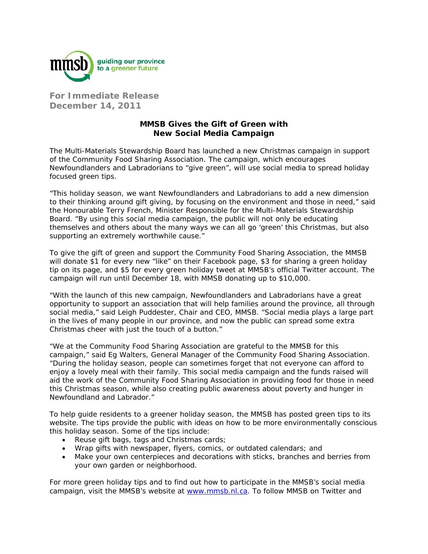

**For Immediate Release December 14, 2011** 

## **MMSB Gives the Gift of Green with New Social Media Campaign**

The Multi-Materials Stewardship Board has launched a new Christmas campaign in support of the Community Food Sharing Association. The campaign, which encourages Newfoundlanders and Labradorians to "give green", will use social media to spread holiday focused green tips.

"This holiday season, we want Newfoundlanders and Labradorians to add a new dimension to their thinking around gift giving, by focusing on the environment and those in need," said the Honourable Terry French, Minister Responsible for the Multi-Materials Stewardship Board. "By using this social media campaign, the public will not only be educating themselves and others about the many ways we can all go 'green' this Christmas, but also supporting an extremely worthwhile cause."

To give the gift of green and support the Community Food Sharing Association, the MMSB will donate \$1 for every new "like" on their Facebook page, \$3 for sharing a green holiday tip on its page, and \$5 for every green holiday tweet at MMSB's official Twitter account. The campaign will run until December 18, with MMSB donating up to \$10,000.

"With the launch of this new campaign, Newfoundlanders and Labradorians have a great opportunity to support an association that will help families around the province, all through social media," said Leigh Puddester, Chair and CEO, MMSB. "Social media plays a large part in the lives of many people in our province, and now the public can spread some extra Christmas cheer with just the touch of a button."

"We at the Community Food Sharing Association are grateful to the MMSB for this campaign," said Eg Walters, General Manager of the Community Food Sharing Association. "During the holiday season, people can sometimes forget that not everyone can afford to enjoy a lovely meal with their family. This social media campaign and the funds raised will aid the work of the Community Food Sharing Association in providing food for those in need this Christmas season, while also creating public awareness about poverty and hunger in Newfoundland and Labrador."

To help guide residents to a greener holiday season, the MMSB has posted green tips to its website. The tips provide the public with ideas on how to be more environmentally conscious this holiday season. Some of the tips include:

- Reuse gift bags, tags and Christmas cards;
- Wrap gifts with newspaper, flyers, comics, or outdated calendars; and
- Make your own centerpieces and decorations with sticks, branches and berries from your own garden or neighborhood.

For more green holiday tips and to find out how to participate in the MMSB's social media campaign, visit the MMSB's website at www.mmsb.nl.ca. To follow MMSB on Twitter and